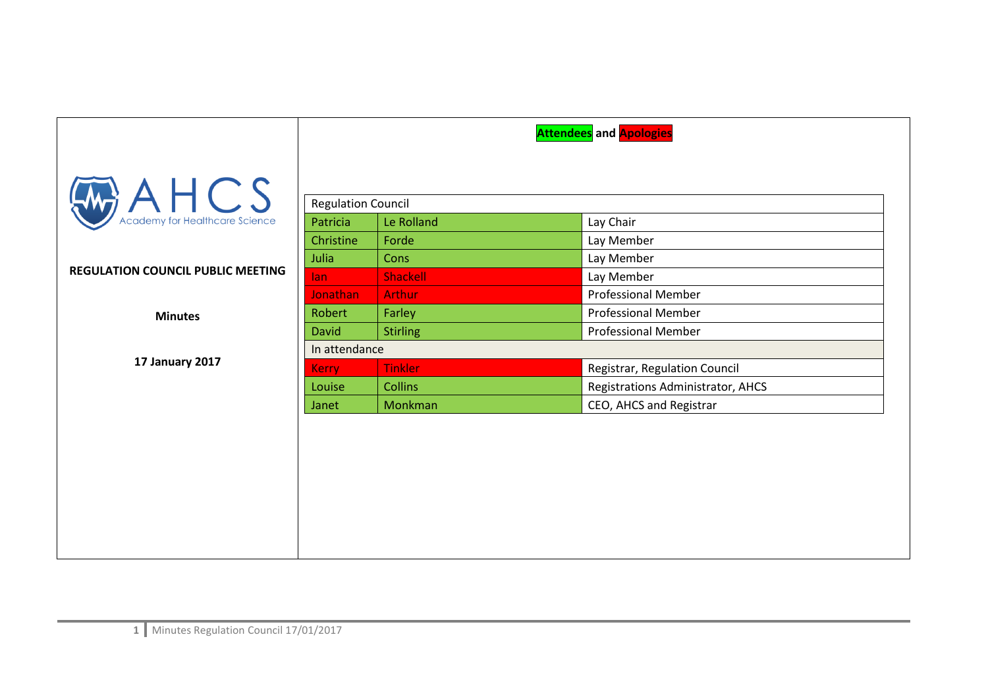|                                             | <b>Attendees</b> and <b>Apologies</b> |                 |                                   |
|---------------------------------------------|---------------------------------------|-----------------|-----------------------------------|
|                                             |                                       |                 |                                   |
| $A \nightharpoonup$ $A \nightharpoonup$ $S$ | <b>Regulation Council</b>             |                 |                                   |
|                                             | Patricia                              | Le Rolland      | Lay Chair                         |
|                                             | Christine                             | Forde           | Lay Member                        |
|                                             | Julia                                 | Cons            | Lay Member                        |
| <b>REGULATION COUNCIL PUBLIC MEETING</b>    | lan.                                  | <b>Shackell</b> | Lay Member                        |
|                                             | <b>Jonathan</b>                       | <b>Arthur</b>   | <b>Professional Member</b>        |
| <b>Minutes</b>                              | Robert                                | Farley          | <b>Professional Member</b>        |
|                                             | <b>David</b>                          | <b>Stirling</b> | <b>Professional Member</b>        |
|                                             | In attendance                         |                 |                                   |
| 17 January 2017                             | <b>Kerry</b>                          | <b>Tinkler</b>  | Registrar, Regulation Council     |
|                                             | Louise                                | <b>Collins</b>  | Registrations Administrator, AHCS |
|                                             | Janet                                 | Monkman         | CEO, AHCS and Registrar           |
|                                             |                                       |                 |                                   |
|                                             |                                       |                 |                                   |
|                                             |                                       |                 |                                   |
|                                             |                                       |                 |                                   |
|                                             |                                       |                 |                                   |
|                                             |                                       |                 |                                   |
|                                             |                                       |                 |                                   |
|                                             |                                       |                 |                                   |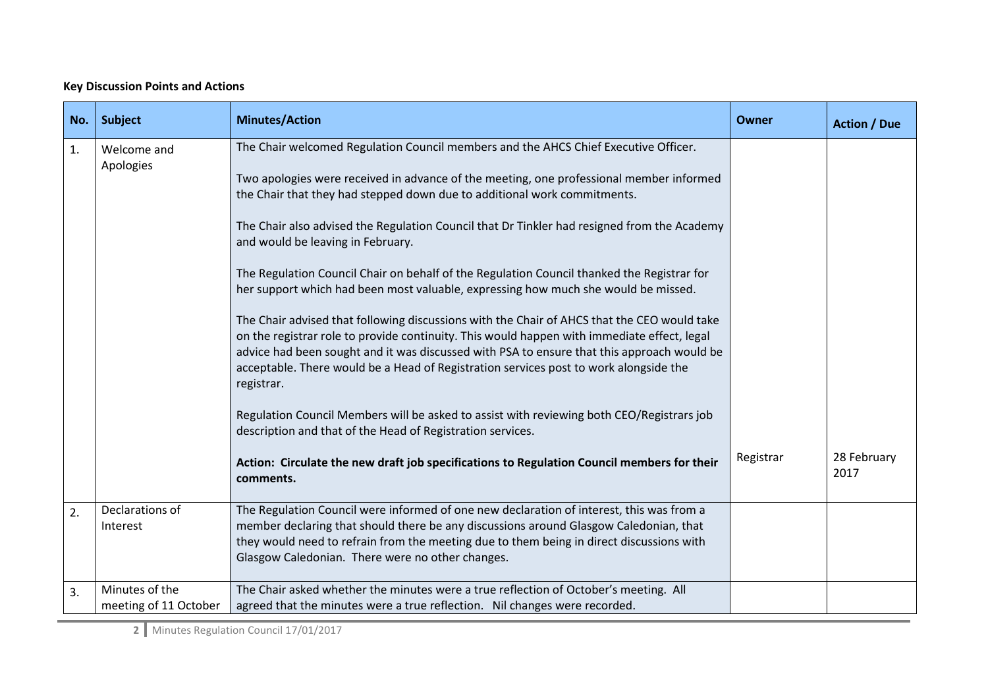## **Key Discussion Points and Actions**

| No. | <b>Subject</b>                          | <b>Minutes/Action</b>                                                                                                                                                                                                                                                                                                                                                                                                                                                                                                                                                                                                                                                                                                                                                                                                                                                                                                                                                                                                                                                                                                                            | Owner     | <b>Action / Due</b> |
|-----|-----------------------------------------|--------------------------------------------------------------------------------------------------------------------------------------------------------------------------------------------------------------------------------------------------------------------------------------------------------------------------------------------------------------------------------------------------------------------------------------------------------------------------------------------------------------------------------------------------------------------------------------------------------------------------------------------------------------------------------------------------------------------------------------------------------------------------------------------------------------------------------------------------------------------------------------------------------------------------------------------------------------------------------------------------------------------------------------------------------------------------------------------------------------------------------------------------|-----------|---------------------|
| 1.  | Welcome and<br>Apologies                | The Chair welcomed Regulation Council members and the AHCS Chief Executive Officer.<br>Two apologies were received in advance of the meeting, one professional member informed<br>the Chair that they had stepped down due to additional work commitments.<br>The Chair also advised the Regulation Council that Dr Tinkler had resigned from the Academy<br>and would be leaving in February.<br>The Regulation Council Chair on behalf of the Regulation Council thanked the Registrar for<br>her support which had been most valuable, expressing how much she would be missed.<br>The Chair advised that following discussions with the Chair of AHCS that the CEO would take<br>on the registrar role to provide continuity. This would happen with immediate effect, legal<br>advice had been sought and it was discussed with PSA to ensure that this approach would be<br>acceptable. There would be a Head of Registration services post to work alongside the<br>registrar.<br>Regulation Council Members will be asked to assist with reviewing both CEO/Registrars job<br>description and that of the Head of Registration services. |           |                     |
|     |                                         | Action: Circulate the new draft job specifications to Regulation Council members for their<br>comments.                                                                                                                                                                                                                                                                                                                                                                                                                                                                                                                                                                                                                                                                                                                                                                                                                                                                                                                                                                                                                                          | Registrar | 28 February<br>2017 |
| 2.  | Declarations of<br>Interest             | The Regulation Council were informed of one new declaration of interest, this was from a<br>member declaring that should there be any discussions around Glasgow Caledonian, that<br>they would need to refrain from the meeting due to them being in direct discussions with<br>Glasgow Caledonian. There were no other changes.                                                                                                                                                                                                                                                                                                                                                                                                                                                                                                                                                                                                                                                                                                                                                                                                                |           |                     |
| 3.  | Minutes of the<br>meeting of 11 October | The Chair asked whether the minutes were a true reflection of October's meeting. All<br>agreed that the minutes were a true reflection. Nil changes were recorded.                                                                                                                                                                                                                                                                                                                                                                                                                                                                                                                                                                                                                                                                                                                                                                                                                                                                                                                                                                               |           |                     |

**2** Minutes Regulation Council 17/01/2017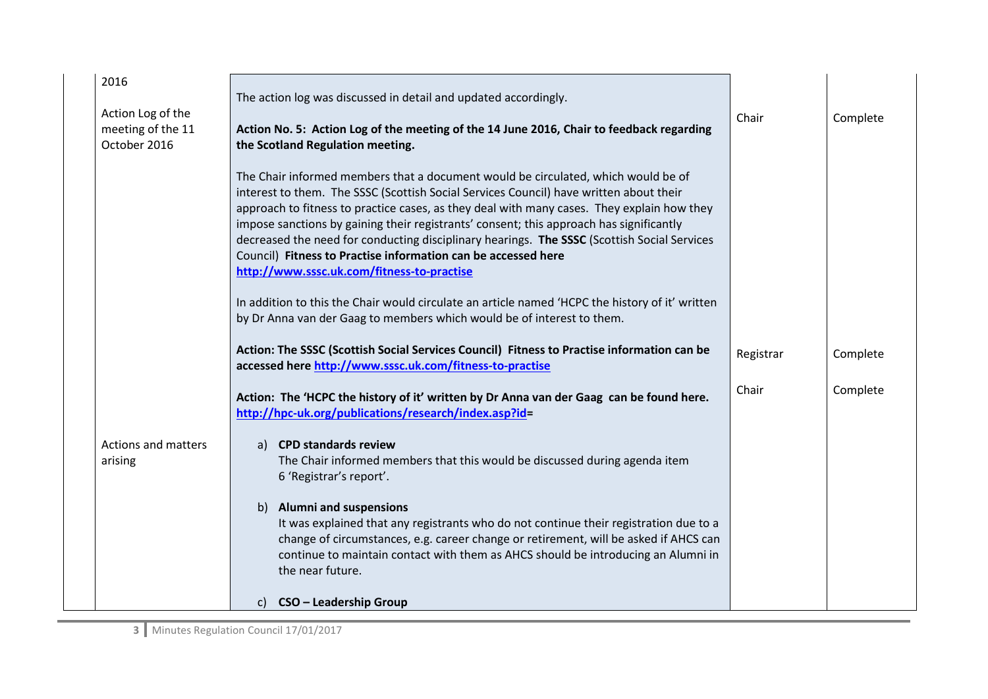| 2016                                                   | The action log was discussed in detail and updated accordingly.                                                                                                                                                                                                                                                                                                                                                                                                                                                                                                                                                                                                                                                                                                 |           |          |
|--------------------------------------------------------|-----------------------------------------------------------------------------------------------------------------------------------------------------------------------------------------------------------------------------------------------------------------------------------------------------------------------------------------------------------------------------------------------------------------------------------------------------------------------------------------------------------------------------------------------------------------------------------------------------------------------------------------------------------------------------------------------------------------------------------------------------------------|-----------|----------|
| Action Log of the<br>meeting of the 11<br>October 2016 | Action No. 5: Action Log of the meeting of the 14 June 2016, Chair to feedback regarding<br>the Scotland Regulation meeting.                                                                                                                                                                                                                                                                                                                                                                                                                                                                                                                                                                                                                                    | Chair     | Complete |
|                                                        | The Chair informed members that a document would be circulated, which would be of<br>interest to them. The SSSC (Scottish Social Services Council) have written about their<br>approach to fitness to practice cases, as they deal with many cases. They explain how they<br>impose sanctions by gaining their registrants' consent; this approach has significantly<br>decreased the need for conducting disciplinary hearings. The SSSC (Scottish Social Services<br>Council) Fitness to Practise information can be accessed here<br>http://www.sssc.uk.com/fitness-to-practise<br>In addition to this the Chair would circulate an article named 'HCPC the history of it' written<br>by Dr Anna van der Gaag to members which would be of interest to them. |           |          |
|                                                        | Action: The SSSC (Scottish Social Services Council) Fitness to Practise information can be<br>accessed here http://www.sssc.uk.com/fitness-to-practise                                                                                                                                                                                                                                                                                                                                                                                                                                                                                                                                                                                                          | Registrar | Complete |
|                                                        | Action: The 'HCPC the history of it' written by Dr Anna van der Gaag can be found here.<br>http://hpc-uk.org/publications/research/index.asp?id=                                                                                                                                                                                                                                                                                                                                                                                                                                                                                                                                                                                                                | Chair     | Complete |
| Actions and matters<br>arising                         | a) CPD standards review<br>The Chair informed members that this would be discussed during agenda item<br>6 'Registrar's report'.                                                                                                                                                                                                                                                                                                                                                                                                                                                                                                                                                                                                                                |           |          |
|                                                        | <b>Alumni and suspensions</b><br>b)<br>It was explained that any registrants who do not continue their registration due to a<br>change of circumstances, e.g. career change or retirement, will be asked if AHCS can<br>continue to maintain contact with them as AHCS should be introducing an Alumni in<br>the near future.                                                                                                                                                                                                                                                                                                                                                                                                                                   |           |          |
|                                                        | CSO - Leadership Group<br>C)                                                                                                                                                                                                                                                                                                                                                                                                                                                                                                                                                                                                                                                                                                                                    |           |          |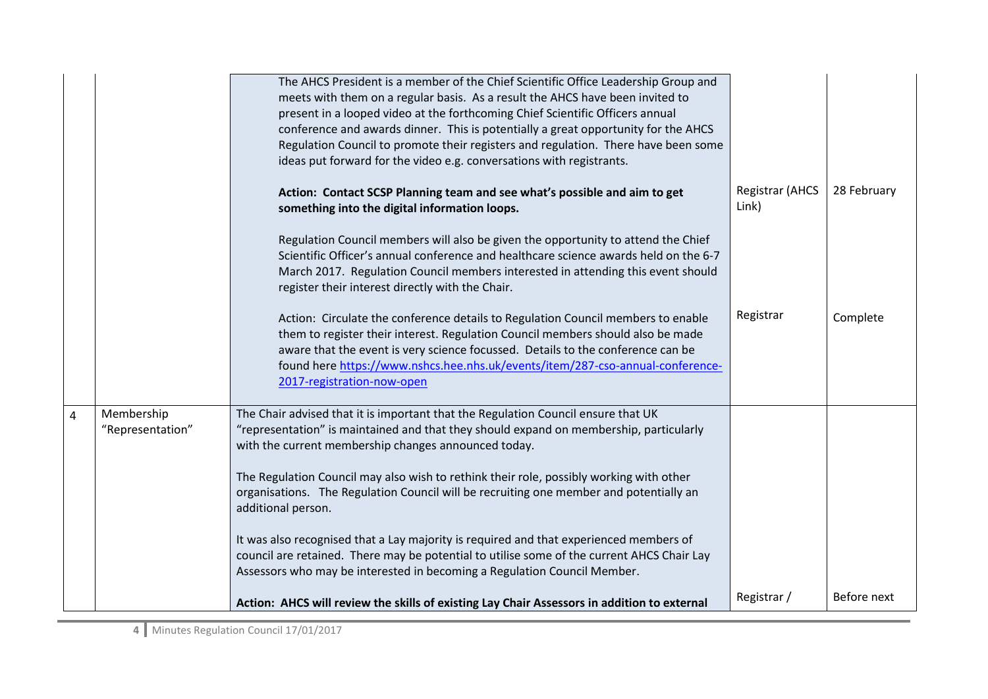|                |                                | The AHCS President is a member of the Chief Scientific Office Leadership Group and<br>meets with them on a regular basis. As a result the AHCS have been invited to<br>present in a looped video at the forthcoming Chief Scientific Officers annual<br>conference and awards dinner. This is potentially a great opportunity for the AHCS<br>Regulation Council to promote their registers and regulation. There have been some<br>ideas put forward for the video e.g. conversations with registrants. |                                 |             |
|----------------|--------------------------------|----------------------------------------------------------------------------------------------------------------------------------------------------------------------------------------------------------------------------------------------------------------------------------------------------------------------------------------------------------------------------------------------------------------------------------------------------------------------------------------------------------|---------------------------------|-------------|
|                |                                | Action: Contact SCSP Planning team and see what's possible and aim to get<br>something into the digital information loops.                                                                                                                                                                                                                                                                                                                                                                               | <b>Registrar (AHCS</b><br>Link) | 28 February |
|                |                                | Regulation Council members will also be given the opportunity to attend the Chief<br>Scientific Officer's annual conference and healthcare science awards held on the 6-7<br>March 2017. Regulation Council members interested in attending this event should<br>register their interest directly with the Chair.                                                                                                                                                                                        |                                 |             |
|                |                                | Action: Circulate the conference details to Regulation Council members to enable<br>them to register their interest. Regulation Council members should also be made<br>aware that the event is very science focussed. Details to the conference can be<br>found here https://www.nshcs.hee.nhs.uk/events/item/287-cso-annual-conference-<br>2017-registration-now-open                                                                                                                                   | Registrar                       | Complete    |
| $\overline{4}$ | Membership<br>"Representation" | The Chair advised that it is important that the Regulation Council ensure that UK<br>"representation" is maintained and that they should expand on membership, particularly<br>with the current membership changes announced today.                                                                                                                                                                                                                                                                      |                                 |             |
|                |                                | The Regulation Council may also wish to rethink their role, possibly working with other<br>organisations. The Regulation Council will be recruiting one member and potentially an<br>additional person.                                                                                                                                                                                                                                                                                                  |                                 |             |
|                |                                | It was also recognised that a Lay majority is required and that experienced members of<br>council are retained. There may be potential to utilise some of the current AHCS Chair Lay<br>Assessors who may be interested in becoming a Regulation Council Member.                                                                                                                                                                                                                                         |                                 |             |
|                |                                | Action: AHCS will review the skills of existing Lay Chair Assessors in addition to external                                                                                                                                                                                                                                                                                                                                                                                                              | Registrar /                     | Before next |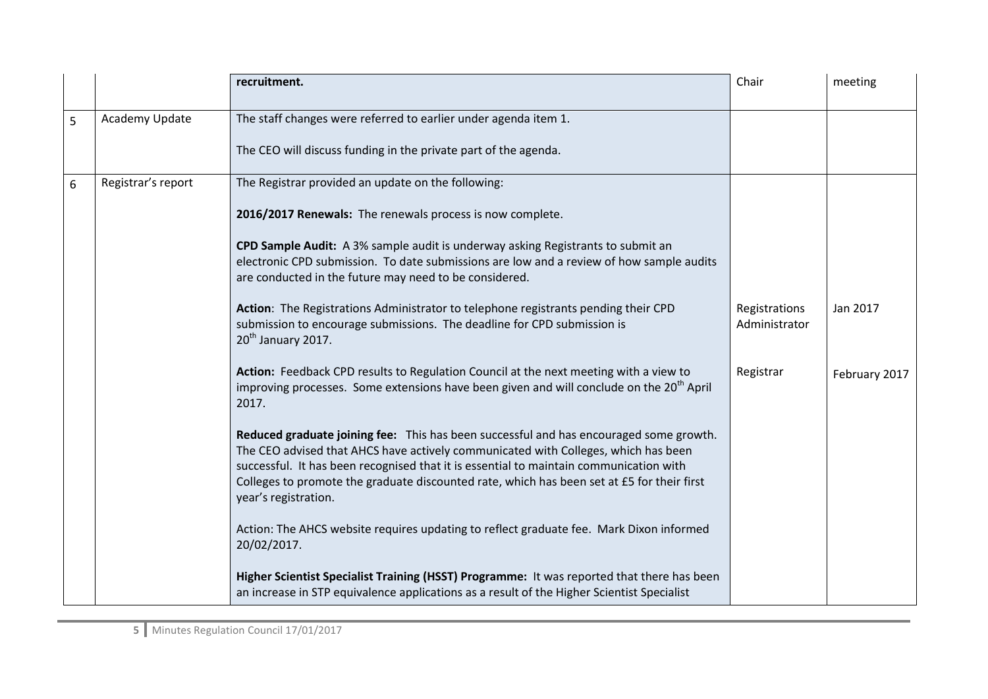|   |                    | recruitment.                                                                                                                                                                                                                                                                                                                                                                                 | Chair                          | meeting       |
|---|--------------------|----------------------------------------------------------------------------------------------------------------------------------------------------------------------------------------------------------------------------------------------------------------------------------------------------------------------------------------------------------------------------------------------|--------------------------------|---------------|
| 5 | Academy Update     | The staff changes were referred to earlier under agenda item 1.                                                                                                                                                                                                                                                                                                                              |                                |               |
|   |                    | The CEO will discuss funding in the private part of the agenda.                                                                                                                                                                                                                                                                                                                              |                                |               |
| 6 | Registrar's report | The Registrar provided an update on the following:                                                                                                                                                                                                                                                                                                                                           |                                |               |
|   |                    | 2016/2017 Renewals: The renewals process is now complete.                                                                                                                                                                                                                                                                                                                                    |                                |               |
|   |                    | CPD Sample Audit: A 3% sample audit is underway asking Registrants to submit an<br>electronic CPD submission. To date submissions are low and a review of how sample audits<br>are conducted in the future may need to be considered.                                                                                                                                                        |                                |               |
|   |                    | Action: The Registrations Administrator to telephone registrants pending their CPD<br>submission to encourage submissions. The deadline for CPD submission is<br>$20th$ January 2017.                                                                                                                                                                                                        | Registrations<br>Administrator | Jan 2017      |
|   |                    | Action: Feedback CPD results to Regulation Council at the next meeting with a view to<br>improving processes. Some extensions have been given and will conclude on the 20 <sup>th</sup> April<br>2017.                                                                                                                                                                                       | Registrar                      | February 2017 |
|   |                    | Reduced graduate joining fee: This has been successful and has encouraged some growth.<br>The CEO advised that AHCS have actively communicated with Colleges, which has been<br>successful. It has been recognised that it is essential to maintain communication with<br>Colleges to promote the graduate discounted rate, which has been set at £5 for their first<br>year's registration. |                                |               |
|   |                    | Action: The AHCS website requires updating to reflect graduate fee. Mark Dixon informed<br>20/02/2017.                                                                                                                                                                                                                                                                                       |                                |               |
|   |                    | Higher Scientist Specialist Training (HSST) Programme: It was reported that there has been<br>an increase in STP equivalence applications as a result of the Higher Scientist Specialist                                                                                                                                                                                                     |                                |               |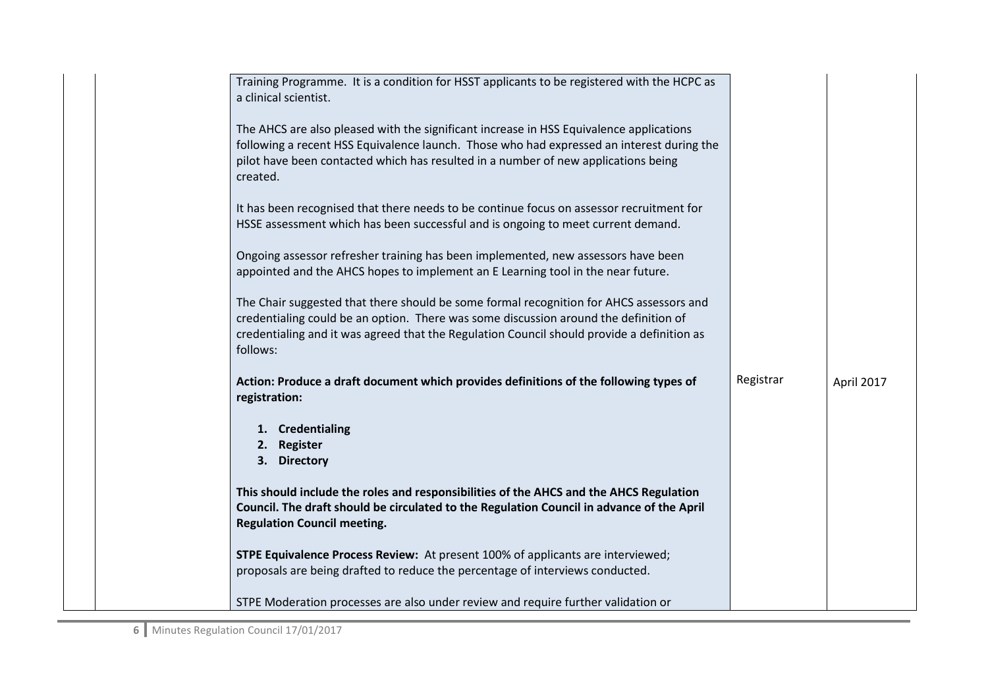| Training Programme. It is a condition for HSST applicants to be registered with the HCPC as<br>a clinical scientist.                                                                                                                                                                      |           |            |
|-------------------------------------------------------------------------------------------------------------------------------------------------------------------------------------------------------------------------------------------------------------------------------------------|-----------|------------|
| The AHCS are also pleased with the significant increase in HSS Equivalence applications<br>following a recent HSS Equivalence launch. Those who had expressed an interest during the<br>pilot have been contacted which has resulted in a number of new applications being<br>created.    |           |            |
| It has been recognised that there needs to be continue focus on assessor recruitment for<br>HSSE assessment which has been successful and is ongoing to meet current demand.                                                                                                              |           |            |
| Ongoing assessor refresher training has been implemented, new assessors have been<br>appointed and the AHCS hopes to implement an E Learning tool in the near future.                                                                                                                     |           |            |
| The Chair suggested that there should be some formal recognition for AHCS assessors and<br>credentialing could be an option. There was some discussion around the definition of<br>credentialing and it was agreed that the Regulation Council should provide a definition as<br>follows: |           |            |
| Action: Produce a draft document which provides definitions of the following types of<br>registration:                                                                                                                                                                                    | Registrar | April 2017 |
| 1. Credentialing<br>2. Register<br>3. Directory                                                                                                                                                                                                                                           |           |            |
| This should include the roles and responsibilities of the AHCS and the AHCS Regulation<br>Council. The draft should be circulated to the Regulation Council in advance of the April<br><b>Regulation Council meeting.</b>                                                                 |           |            |
| <b>STPE Equivalence Process Review:</b> At present 100% of applicants are interviewed;<br>proposals are being drafted to reduce the percentage of interviews conducted.                                                                                                                   |           |            |
| STPE Moderation processes are also under review and require further validation or                                                                                                                                                                                                         |           |            |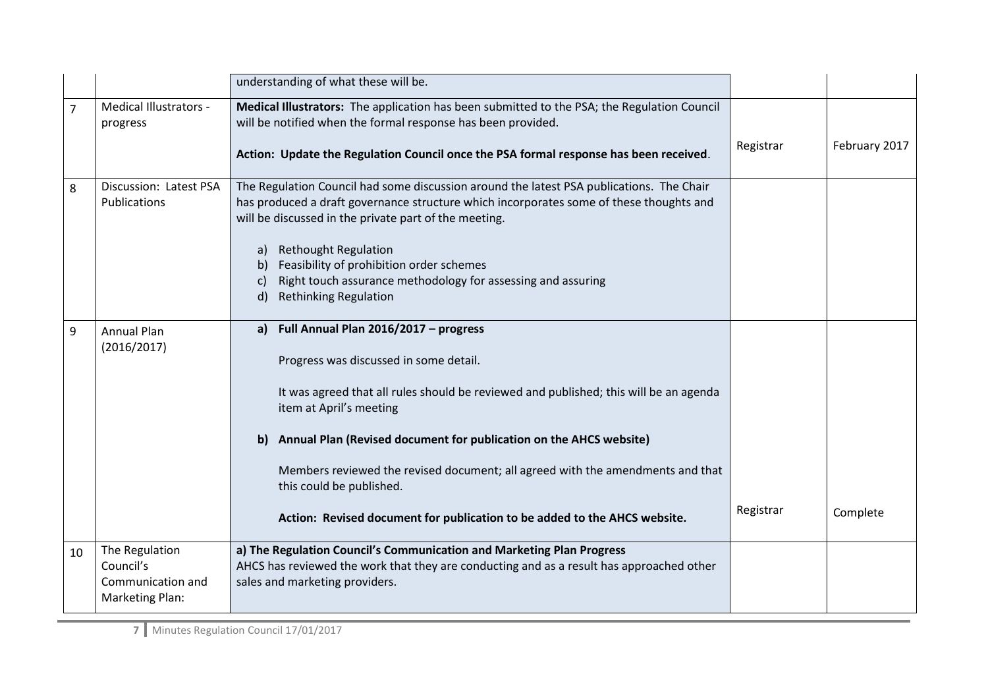|    |                                                                     | understanding of what these will be.                                                                                                                                                                                                                                                                                                                                                                                                                                             |           |               |
|----|---------------------------------------------------------------------|----------------------------------------------------------------------------------------------------------------------------------------------------------------------------------------------------------------------------------------------------------------------------------------------------------------------------------------------------------------------------------------------------------------------------------------------------------------------------------|-----------|---------------|
| 7  | Medical Illustrators -<br>progress                                  | Medical Illustrators: The application has been submitted to the PSA; the Regulation Council<br>will be notified when the formal response has been provided.<br>Action: Update the Regulation Council once the PSA formal response has been received.                                                                                                                                                                                                                             | Registrar | February 2017 |
| 8  | Discussion: Latest PSA<br>Publications                              | The Regulation Council had some discussion around the latest PSA publications. The Chair<br>has produced a draft governance structure which incorporates some of these thoughts and<br>will be discussed in the private part of the meeting.<br><b>Rethought Regulation</b><br>a)<br>b) Feasibility of prohibition order schemes<br>Right touch assurance methodology for assessing and assuring<br>C)<br><b>Rethinking Regulation</b><br>d)                                     |           |               |
| 9  | <b>Annual Plan</b><br>(2016/2017)                                   | Full Annual Plan 2016/2017 - progress<br>a)<br>Progress was discussed in some detail.<br>It was agreed that all rules should be reviewed and published; this will be an agenda<br>item at April's meeting<br>Annual Plan (Revised document for publication on the AHCS website)<br>b)<br>Members reviewed the revised document; all agreed with the amendments and that<br>this could be published.<br>Action: Revised document for publication to be added to the AHCS website. | Registrar | Complete      |
| 10 | The Regulation<br>Council's<br>Communication and<br>Marketing Plan: | a) The Regulation Council's Communication and Marketing Plan Progress<br>AHCS has reviewed the work that they are conducting and as a result has approached other<br>sales and marketing providers.                                                                                                                                                                                                                                                                              |           |               |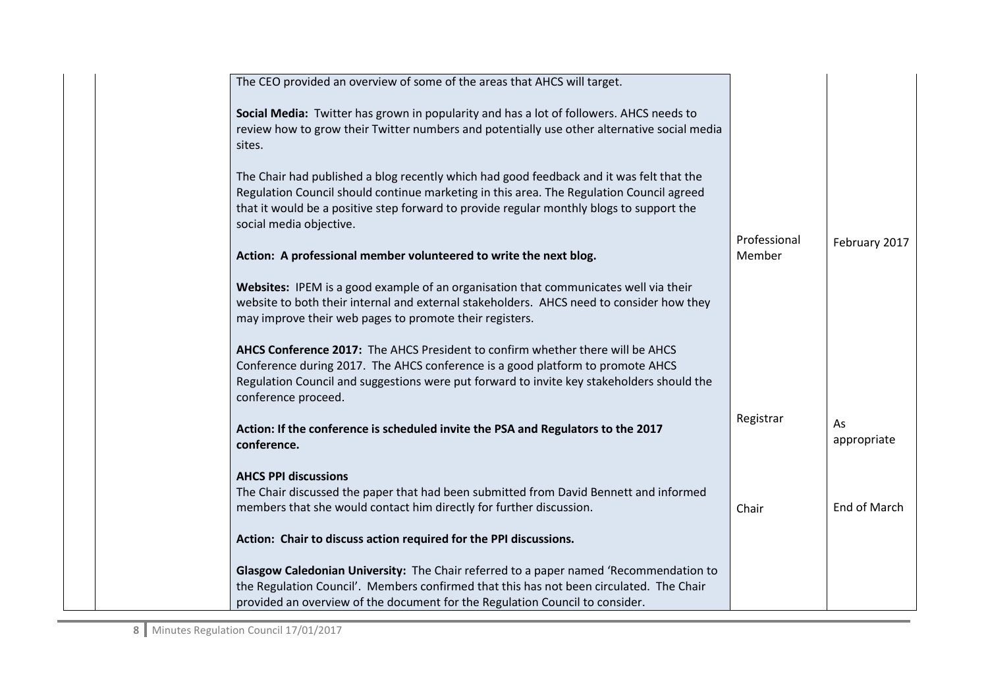| The CEO provided an overview of some of the areas that AHCS will target.                                                                                                                                                                                                                                    |                        |                   |
|-------------------------------------------------------------------------------------------------------------------------------------------------------------------------------------------------------------------------------------------------------------------------------------------------------------|------------------------|-------------------|
| Social Media: Twitter has grown in popularity and has a lot of followers. AHCS needs to<br>review how to grow their Twitter numbers and potentially use other alternative social media<br>sites.                                                                                                            |                        |                   |
| The Chair had published a blog recently which had good feedback and it was felt that the<br>Regulation Council should continue marketing in this area. The Regulation Council agreed<br>that it would be a positive step forward to provide regular monthly blogs to support the<br>social media objective. |                        |                   |
| Action: A professional member volunteered to write the next blog.                                                                                                                                                                                                                                           | Professional<br>Member | February 2017     |
| Websites: IPEM is a good example of an organisation that communicates well via their<br>website to both their internal and external stakeholders. AHCS need to consider how they<br>may improve their web pages to promote their registers.                                                                 |                        |                   |
| AHCS Conference 2017: The AHCS President to confirm whether there will be AHCS<br>Conference during 2017. The AHCS conference is a good platform to promote AHCS<br>Regulation Council and suggestions were put forward to invite key stakeholders should the<br>conference proceed.                        |                        |                   |
| Action: If the conference is scheduled invite the PSA and Regulators to the 2017<br>conference.                                                                                                                                                                                                             | Registrar              | As<br>appropriate |
| <b>AHCS PPI discussions</b><br>The Chair discussed the paper that had been submitted from David Bennett and informed<br>members that she would contact him directly for further discussion.                                                                                                                 | Chair                  | End of March      |
| Action: Chair to discuss action required for the PPI discussions.                                                                                                                                                                                                                                           |                        |                   |
| Glasgow Caledonian University: The Chair referred to a paper named 'Recommendation to<br>the Regulation Council'. Members confirmed that this has not been circulated. The Chair<br>provided an overview of the document for the Regulation Council to consider.                                            |                        |                   |